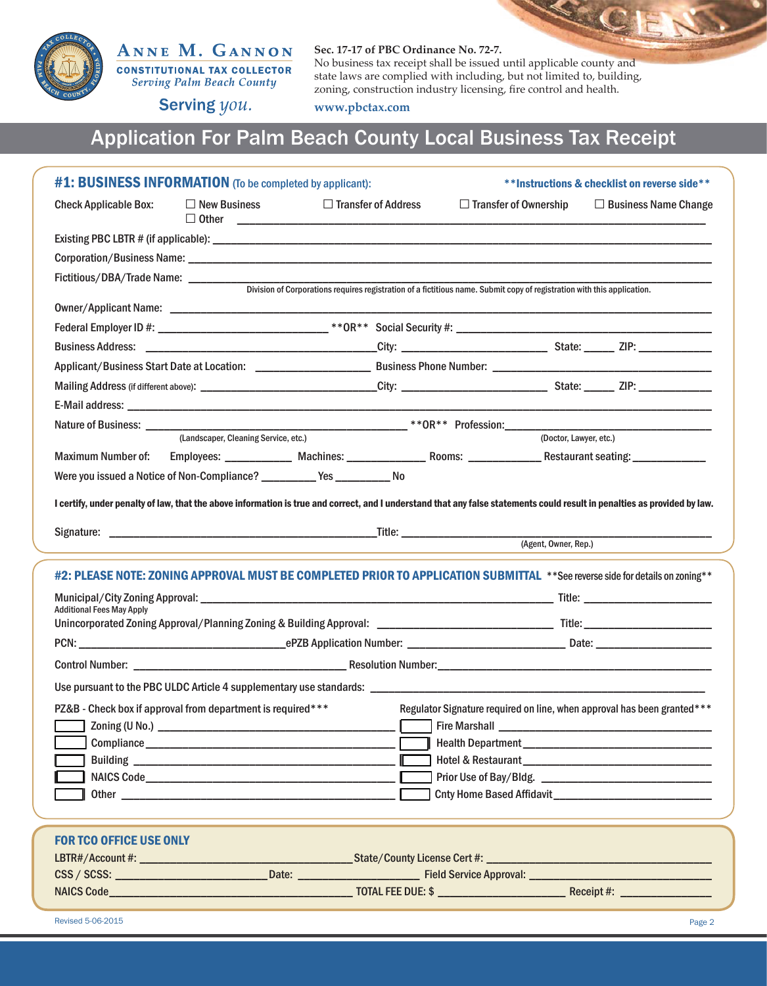

## ANNE M. GANNON **CONSTITUTIONAL TAX COLLECTOR**

**Serving Palm Beach County** 

### **Sec. 17-17 of PBC Ordinance No. 72-7.**

No business tax receipt shall be issued until applicable county and state laws are complied with including, but not limited to, building, zoning, construction industry licensing, fire control and health.

Serving you.

**www.pbctax.com**

# Application For Palm Beach County Local Business Tax Receipt

| #1: BUSINESS INFORMATION (To be completed by applicant):                      |                                                                                                                                                                                                                               |                            |  |                                                                                                                         | **Instructions & checklist on reverse side**                                                                                                                              |  |
|-------------------------------------------------------------------------------|-------------------------------------------------------------------------------------------------------------------------------------------------------------------------------------------------------------------------------|----------------------------|--|-------------------------------------------------------------------------------------------------------------------------|---------------------------------------------------------------------------------------------------------------------------------------------------------------------------|--|
| <b>Check Applicable Box:</b>                                                  | $\Box$ New Business                                                                                                                                                                                                           | $\Box$ Transfer of Address |  | $\Box$ Transfer of Ownership                                                                                            | $\Box$ Business Name Change                                                                                                                                               |  |
|                                                                               |                                                                                                                                                                                                                               |                            |  |                                                                                                                         |                                                                                                                                                                           |  |
|                                                                               |                                                                                                                                                                                                                               |                            |  |                                                                                                                         |                                                                                                                                                                           |  |
| Fictitious/DBA/Trade Name: __________________________                         |                                                                                                                                                                                                                               |                            |  |                                                                                                                         |                                                                                                                                                                           |  |
|                                                                               |                                                                                                                                                                                                                               |                            |  | Division of Corporations requires registration of a fictitious name. Submit copy of registration with this application. |                                                                                                                                                                           |  |
|                                                                               |                                                                                                                                                                                                                               |                            |  |                                                                                                                         |                                                                                                                                                                           |  |
|                                                                               |                                                                                                                                                                                                                               |                            |  |                                                                                                                         |                                                                                                                                                                           |  |
|                                                                               |                                                                                                                                                                                                                               |                            |  |                                                                                                                         |                                                                                                                                                                           |  |
|                                                                               |                                                                                                                                                                                                                               |                            |  |                                                                                                                         |                                                                                                                                                                           |  |
|                                                                               |                                                                                                                                                                                                                               |                            |  |                                                                                                                         |                                                                                                                                                                           |  |
|                                                                               |                                                                                                                                                                                                                               |                            |  |                                                                                                                         |                                                                                                                                                                           |  |
|                                                                               | (Landscaper, Cleaning Service, etc.)                                                                                                                                                                                          |                            |  | (Doctor, Lawyer, etc.)                                                                                                  |                                                                                                                                                                           |  |
|                                                                               |                                                                                                                                                                                                                               |                            |  |                                                                                                                         | Maximum Number of: Employees: ____________ Machines: __________________ Rooms: _______________Restaurant seating: ________________                                        |  |
| Were you issued a Notice of Non-Compliance? ____________ Yes _____________ No |                                                                                                                                                                                                                               |                            |  |                                                                                                                         |                                                                                                                                                                           |  |
|                                                                               |                                                                                                                                                                                                                               |                            |  |                                                                                                                         |                                                                                                                                                                           |  |
|                                                                               |                                                                                                                                                                                                                               |                            |  |                                                                                                                         | I certify, under penalty of law, that the above information is true and correct, and I understand that any false statements could result in penalties as provided by law. |  |
|                                                                               |                                                                                                                                                                                                                               |                            |  |                                                                                                                         |                                                                                                                                                                           |  |
|                                                                               |                                                                                                                                                                                                                               |                            |  |                                                                                                                         |                                                                                                                                                                           |  |
|                                                                               |                                                                                                                                                                                                                               |                            |  |                                                                                                                         | #2: PLEASE NOTE: ZONING APPROVAL MUST BE COMPLETED PRIOR TO APPLICATION SUBMITTAL **See reverse side for details on zoning**                                              |  |
|                                                                               |                                                                                                                                                                                                                               |                            |  |                                                                                                                         |                                                                                                                                                                           |  |
| <b>Additional Fees May Apply</b>                                              |                                                                                                                                                                                                                               |                            |  |                                                                                                                         |                                                                                                                                                                           |  |
|                                                                               |                                                                                                                                                                                                                               |                            |  |                                                                                                                         |                                                                                                                                                                           |  |
|                                                                               |                                                                                                                                                                                                                               |                            |  |                                                                                                                         |                                                                                                                                                                           |  |
|                                                                               |                                                                                                                                                                                                                               |                            |  |                                                                                                                         |                                                                                                                                                                           |  |
|                                                                               |                                                                                                                                                                                                                               |                            |  |                                                                                                                         |                                                                                                                                                                           |  |
| PZ&B - Check box if approval from department is required***                   |                                                                                                                                                                                                                               |                            |  |                                                                                                                         | Regulator Signature required on line, when approval has been granted***                                                                                                   |  |
|                                                                               |                                                                                                                                                                                                                               |                            |  |                                                                                                                         |                                                                                                                                                                           |  |
|                                                                               |                                                                                                                                                                                                                               |                            |  |                                                                                                                         |                                                                                                                                                                           |  |
|                                                                               |                                                                                                                                                                                                                               |                            |  |                                                                                                                         |                                                                                                                                                                           |  |
|                                                                               | NAICS Code NAICS Code                                                                                                                                                                                                         |                            |  |                                                                                                                         |                                                                                                                                                                           |  |
|                                                                               | Other and the contract of the contract of the contract of the contract of the contract of the contract of the contract of the contract of the contract of the contract of the contract of the contract of the contract of the |                            |  |                                                                                                                         |                                                                                                                                                                           |  |
|                                                                               |                                                                                                                                                                                                                               |                            |  |                                                                                                                         |                                                                                                                                                                           |  |
| <b>FOR TCO OFFICE USE ONLY</b>                                                |                                                                                                                                                                                                                               |                            |  |                                                                                                                         |                                                                                                                                                                           |  |
|                                                                               |                                                                                                                                                                                                                               |                            |  |                                                                                                                         |                                                                                                                                                                           |  |
|                                                                               |                                                                                                                                                                                                                               |                            |  |                                                                                                                         |                                                                                                                                                                           |  |
|                                                                               |                                                                                                                                                                                                                               |                            |  |                                                                                                                         |                                                                                                                                                                           |  |
| Revised 5-06-2015                                                             |                                                                                                                                                                                                                               |                            |  |                                                                                                                         | Page 2                                                                                                                                                                    |  |

**DE**